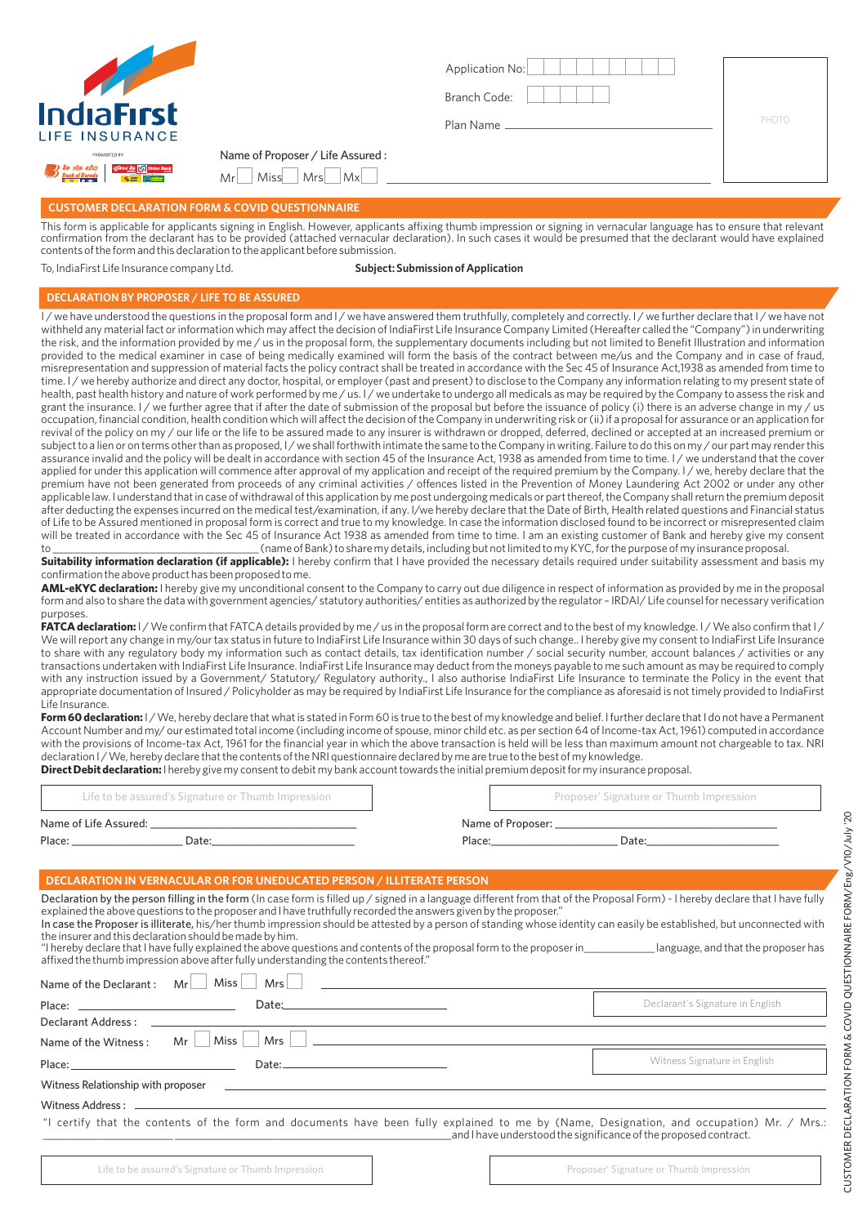

| Application No: |       |
|-----------------|-------|
| Branch Code:    |       |
| Plan Name       | PHOTO |
|                 |       |
|                 |       |

## **CUSTOMER DECLARATION FORM & COVID QUESTIONNAIRE**

Name of Proposer / Life Assured :  $Mr$  Miss  $Mr$ 

This form is applicable for applicants signing in English. However, applicants affixing thumb impression or signing in vernacular language has to ensure that relevant confirmation from the declarant has to be provided (attached vernacular declaration). In such cases it would be presumed that the declarant would have explained contents of the form and this declaration to the applicant before submission.

To, IndiaFirst Life Insurance company Ltd. **Subject: Submission of Application**

#### **DECLARATION BY PROPOSER / LIFE TO BE ASSURED**

I/we have understood the questions in the proposal form and I/we have answered them truthfully, completely and correctly. I/we further declare that I/we have not withheld any material fact or information which may affect the decision of IndiaFirst Life Insurance Company Limited (Hereafter called the "Company") in underwriting the risk, and the information provided by me / us in the proposal form, the supplementary documents including but not limited to Benefit Illustration and information provided to the medical examiner in case of being medically examined will form the basis of the contract between me/us and the Company and in case of fraud, misrepresentation and suppression of material facts the policy contract shall be treated in accordance with the Sec 45 of Insurance Act,1938 as amended from time to time. I/we hereby authorize and direct any doctor, hospital, or employer (past and present) to disclose to the Company any information relating to my present state of health, past health history and nature of work performed by me / us. I / we undertake to undergo all medicals as may be required by the Company to assess the risk and grant the insurance. I/we further agree that if after the date of submission of the proposal but before the issuance of policy (i) there is an adverse change in my/us occupation, financial condition, health condition which will affect the decision of the Company in underwriting risk or (ii) if a proposal for assurance or an application for revival of the policy on my / our life or the life to be assured made to any insurer is withdrawn or dropped, deferred, declined or accepted at an increased premium or subject to a lien or on terms other than as proposed, I/we shall forthwith intimate the same to the Company in writing. Failure to do this on my/our part may render this assurance invalid and the policy will be dealt in accordance with section 45 of the Insurance Act, 1938 as amended from time to time. I / we understand that the cover applied for under this application will commence after approval of my application and receipt of the required premium by the Company. I/we, hereby declare that the premium have not been generated from proceeds of any criminal activities / offences listed in the Prevention of Money Laundering Act 2002 or under any other applicable law. I understand that in case of withdrawal of this application by me post undergoing medicals or part thereof, the Company shall return the premium deposit after deducting the expenses incurred on the medical test/examination, if any. I/we hereby declare that the Date of Birth, Health related questions and Financial status of Life to be Assured mentioned in proposal form is correct and true to my knowledge. In case the information disclosed found to be incorrect or misrepresented claim will be treated in accordance with the Sec 45 of Insurance Act 1938 as amended from time to time. I am an existing customer of Bank and hereby give my consent to \_\_\_\_\_\_\_\_\_\_\_\_\_\_\_\_\_\_\_\_\_\_\_\_\_\_\_\_\_\_\_\_\_\_\_\_\_\_ (name of Bank) to share my details, including but not limited to my KYC, for the purpose of my insurance proposal.

**Suitability information declaration (if applicable):** I hereby confirm that I have provided the necessary details required under suitability assessment and basis my confirmation the above product has been proposed to me.

**AML-eKYC declaration:** I hereby give my unconditional consent to the Company to carry out due diligence in respect of information as provided by me in the proposal form and also to share the data with government agencies/ statutory authorities/ entities as authorized by the regulator – IRDAI/ Life counsel for necessary verification purposes.

FATCA declaration: I / We confirm that FATCA details provided by me / us in the proposal form are correct and to the best of my knowledge. I / We also confirm that I / We will report any change in my/our tax status in future to IndiaFirst Life Insurance within 30 days of such change.. I hereby give my consent to IndiaFirst Life Insurance to share with any regulatory body my information such as contact details, tax identification number / social security number, account balances / activities or any transactions undertaken with IndiaFirst Life Insurance. IndiaFirst Life Insurance may deduct from the moneys payable to me such amount as may be required to comply with any instruction issued by a Government/ Statutory/ Regulatory authority., I also authorise IndiaFirst Life Insurance to terminate the Policy in the event that appropriate documentation of Insured / Policyholder as may be required by IndiaFirst Life Insurance for the compliance as aforesaid is not timely provided to IndiaFirst Life Insurance.

Form 60 declaration: I/We, hereby declare that what is stated in Form 60 is true to the best of my knowledge and belief. I further declare that I do not have a Permanent Account Number and my/ our estimated total income (including income of spouse, minor child etc. as per section 64 of Income-tax Act, 1961) computed in accordance with the provisions of Income-tax Act, 1961 for the financial year in which the above transaction is held will be less than maximum amount not chargeable to tax. NRI declaration I / We, hereby declare that the contents of the NRI questionnaire declared by me are true to the best of my knowledge. **Direct Debit declaration:** I hereby give my consent to debit my bank account towards the initial premium deposit for my insurance proposal.

|                       | Life to be assured's Signature or Thumb Impression | Proposer' Signature or Thumb Impression |
|-----------------------|----------------------------------------------------|-----------------------------------------|
| Name of Life Assured: |                                                    | Name of Proposer:                       |
| Place:                | Date:                                              | Place:<br>Date:                         |

### **DECLARATION IN VERNACULAR OR FOR UNEDUCATED PERSON / ILLITERATE PERSON**

| Declaration by the person filling in the form (In case form is filled up / signed in a language different from that of the Proposal Form) - I hereby declare that I have fully<br>explained the above questions to the proposer and I have truthfully recorded the answers given by the proposer."<br>In case the Proposer is illiterate, his/her thumb impression should be attested by a person of standing whose identity can easily be established, but unconnected with<br>the insurer and this declaration should be made by him.<br>"I hereby declare that I have fully explained the above questions and contents of the proposal form to the proposer in language, and that the proposer has<br>affixed the thumb impression above after fully understanding the contents thereof." |                                  |  |  |  |
|----------------------------------------------------------------------------------------------------------------------------------------------------------------------------------------------------------------------------------------------------------------------------------------------------------------------------------------------------------------------------------------------------------------------------------------------------------------------------------------------------------------------------------------------------------------------------------------------------------------------------------------------------------------------------------------------------------------------------------------------------------------------------------------------|----------------------------------|--|--|--|
| Miss<br>Mrs<br>Name of the Declarant:<br>Mr                                                                                                                                                                                                                                                                                                                                                                                                                                                                                                                                                                                                                                                                                                                                                  |                                  |  |  |  |
| Place: The contract of the contract of the contract of the contract of the contract of the contract of the contract of the contract of the contract of the contract of the contract of the contract of the contract of the con<br>Date:                                                                                                                                                                                                                                                                                                                                                                                                                                                                                                                                                      | Declarant's Signature in English |  |  |  |
| Declarant Address:                                                                                                                                                                                                                                                                                                                                                                                                                                                                                                                                                                                                                                                                                                                                                                           |                                  |  |  |  |
| Miss<br>Mrs<br>Name of the Witness:                                                                                                                                                                                                                                                                                                                                                                                                                                                                                                                                                                                                                                                                                                                                                          |                                  |  |  |  |
| Place: <u>________________________________</u><br>Date:                                                                                                                                                                                                                                                                                                                                                                                                                                                                                                                                                                                                                                                                                                                                      | Witness Signature in English     |  |  |  |
| Witness Relationship with proposer                                                                                                                                                                                                                                                                                                                                                                                                                                                                                                                                                                                                                                                                                                                                                           |                                  |  |  |  |
| Witness Address:                                                                                                                                                                                                                                                                                                                                                                                                                                                                                                                                                                                                                                                                                                                                                                             |                                  |  |  |  |
| "I certify that the contents of the form and documents have been fully explained to me by (Name, Designation, and occupation) Mr. / Mrs.:<br>and I have understood the significance of the proposed contract.                                                                                                                                                                                                                                                                                                                                                                                                                                                                                                                                                                                |                                  |  |  |  |
|                                                                                                                                                                                                                                                                                                                                                                                                                                                                                                                                                                                                                                                                                                                                                                                              |                                  |  |  |  |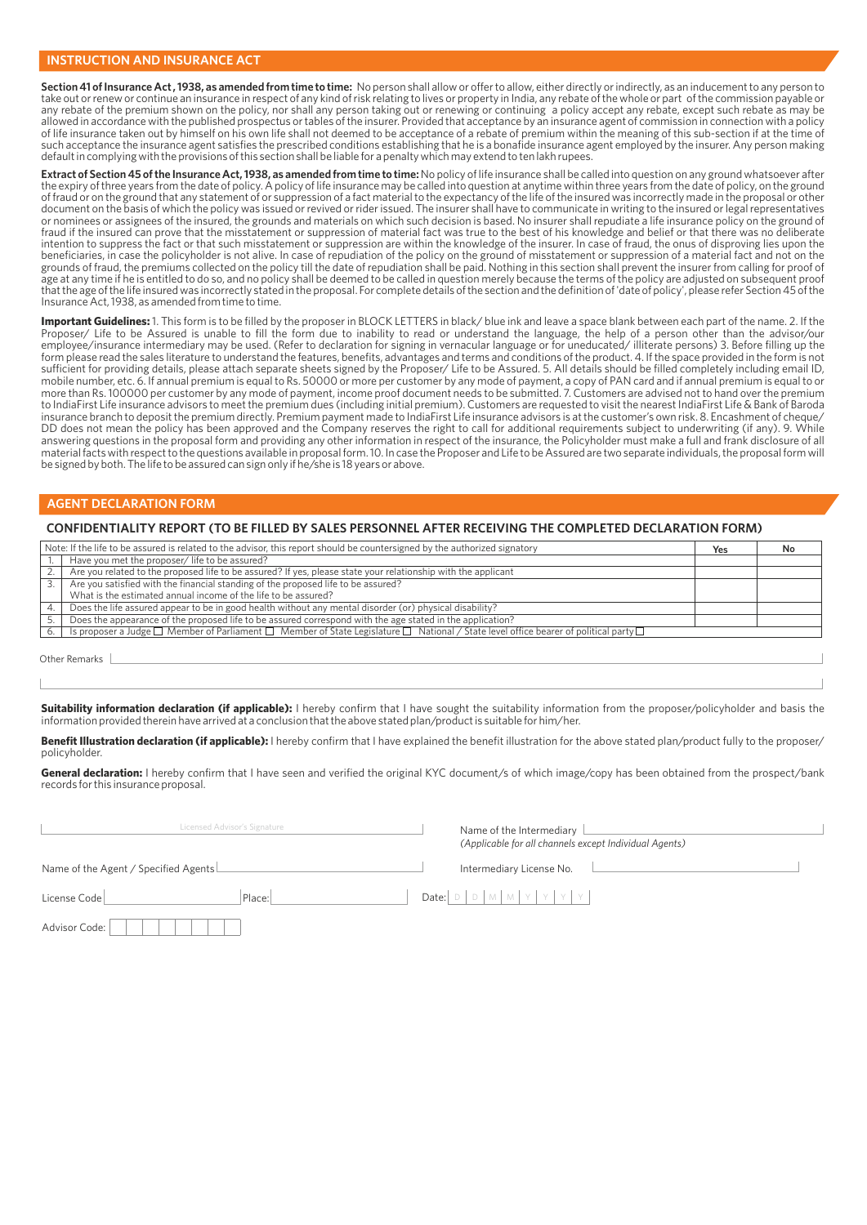**Section 41 of Insurance Act , 1938, as amended from time to time:** No person shall allow or offer to allow, either directly or indirectly, as an inducement to any person to take out or renew or continue an insurance in respect of any kind of risk relating to lives or property in India, any rebate of the whole or part of the commission payable or any rebate of the premium shown on the policy, nor shall any person taking out or renewing or continuing a policy accept any rebate, except such rebate as may be<br>allowed in accordance with the published prospectus or table of life insurance taken out by himself on his own life shall not deemed to be acceptance of a rebate of premium within the meaning of this sub-section if at the time of such acceptance the insurance agent satisfies the prescribed conditions establishing that he is a bonafide insurance agent employed by the insurer. Any person making default in complying with the provisions of this section shall be liable for a penalty which may extend to ten lakh rupees.

**Extract of Section 45 of the Insurance Act, 1938, as amended from time to time:** No policy of life insurance shall be called into question on any ground whatsoever after the expiry of three years from the date of policy. A policy of life insurance may be called into question at anytime within three years from the date of policy, on the ground of fraud or on the ground that any statement of or suppression of a fact material to the expectancy of the life of the insured was incorrectly made in the proposal or other<br>document on the basis of which the policy was iss or nominees or assignees of the insured, the grounds and materials on which such decision is based. No insurer shall repudiate a life insurance policy on the ground of fraud if the insured can prove that the misstatement or suppression of material fact was true to the best of his knowledge and belief or that there was no deliberate intention to suppress the fact or that such misstatement or suppression are within the knowledge of the insurer. In case of fraud, the onus of disproving lies upon the beneficiaries, in case the policyholder is not alive. In case of repudiation of the policy on the ground of misstatement or suppression of a material fact and not on the grounds of fraud, the premiums collected on the policy till the date of repudiation shall be paid. Nothing in this section shall prevent the insurer from calling for proof of<br>age at any time if he is entitled to do so, and that the age of the life insured was incorrectly stated in the proposal. For complete details of the section and the definition of 'date of policy', please refer Section 45 of the Insurance Act, 1938, as amended from time to time.

**Important Guidelines:** 1. This form is to be filled by the proposer in BLOCK LETTERS in black/ blue ink and leave a space blank between each part of the name. 2. If the Proposer/ Life to be Assured is unable to fill the form due to inability to read or understand the language, the help of a person other than the advisor/our employee/insurance intermediary may be used. (Refer to declaration for signing in vernacular language or for uneducated/ illiterate persons) 3. Before filling up the form please read the sales literature to understand the features, benefits, advantages and terms and conditions of the product. 4. If the space provided in the form is not sufficient for providing details, please attach separate sheets signed by the Proposer/ Life to be Assured. 5. All details should be filled completely including email ID, mobile number, etc. 6. If annual premium is equal to Rs. 50000 or more per customer by any mode of payment, a copy of PAN card and if annual premium is equal to or more than Rs. 100000 per customer by any mode of payment, income proof document needs to be submitted. 7. Customers are advised not to hand over the premium to IndiaFirst Life insurance advisors to meet the premium dues (including initial premium). Customers are requested to visit the nearest IndiaFirst Life & Bank of Baroda insurance branch to deposit the premium directly. Premium payment made to IndiaFirst Life insurance advisors is at the customer's own risk. 8. Encashment of cheque/ DD does not mean the policy has been approved and the Company reserves the right to call for additional requirements subject to underwriting (if any). 9. While answering questions in the proposal form and providing any other information in respect of the insurance, the Policyholder must make a full and frank disclosure of all material facts with respect to the questions available in proposal form. 10. In case the Proposer and Life to be Assured are two separate individuals, the proposal form will be signed by both. The life to be assured can sign only if he/she is 18 years or above.

### **AGENT DECLARATION FORM**

#### **CONFIDENTIALITY REPORT (TO BE FILLED BY SALES PERSONNEL AFTER RECEIVING THE COMPLETED DECLARATION FORM)**

| Note: If the life to be assured is related to the advisor, this report should be countersigned by the authorized signatory |                                                                                                                                                                      | Yes | No. |
|----------------------------------------------------------------------------------------------------------------------------|----------------------------------------------------------------------------------------------------------------------------------------------------------------------|-----|-----|
|                                                                                                                            | Have you met the proposer/ life to be assured?                                                                                                                       |     |     |
|                                                                                                                            | Are you related to the proposed life to be assured? If yes, please state your relationship with the applicant                                                        |     |     |
|                                                                                                                            | Are you satisfied with the financial standing of the proposed life to be assured?                                                                                    |     |     |
|                                                                                                                            | What is the estimated annual income of the life to be assured?                                                                                                       |     |     |
|                                                                                                                            | Does the life assured appear to be in good health without any mental disorder (or) physical disability?                                                              |     |     |
|                                                                                                                            | Does the appearance of the proposed life to be assured correspond with the age stated in the application?                                                            |     |     |
|                                                                                                                            | Is proposer a Judge $\square$ Member of Parliament $\square$ Member of State Legislature $\square$ National / State level office bearer of political party $\square$ |     |     |

Other Remarks

Suitability information declaration (if applicable): I hereby confirm that I have sought the suitability information from the proposer/policyholder and basis the information provided therein have arrived at a conclusion that the above stated plan/product is suitable for him/her.

Benefit Illustration declaration (if applicable): I hereby confirm that I have explained the benefit illustration for the above stated plan/product fully to the proposer/ policyholder.

General declaration: I hereby confirm that I have seen and verified the original KYC document/s of which image/copy has been obtained from the prospect/bank records for this insurance proposal.

| Licensed Advisor's Signature         |        | Name of the Intermediary<br>(Applicable for all channels except Individual Agents) |
|--------------------------------------|--------|------------------------------------------------------------------------------------|
| Name of the Agent / Specified Agents |        | Intermediary License No.                                                           |
| License Code                         | Place: | Date: $D \cup N$ $M \cup Y$ $Y$ $Y$                                                |
| Advisor Code:                        |        |                                                                                    |